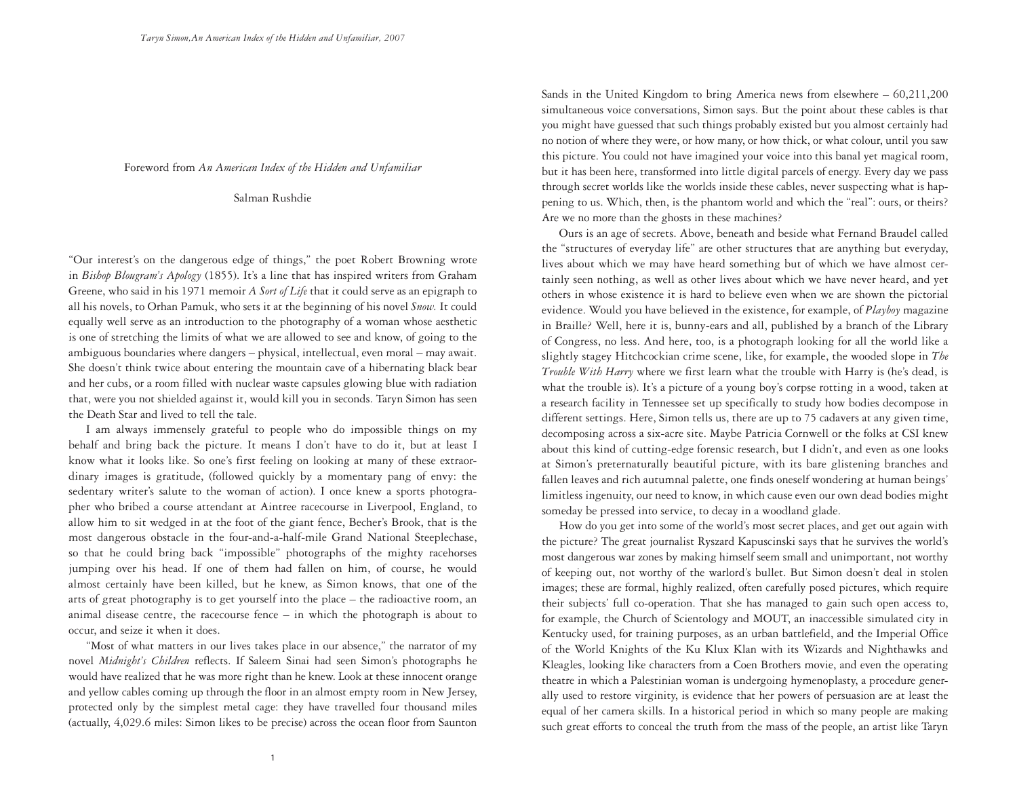## Foreword from *An American Index of the Hidden and Unfamiliar*

Salman Rushdie

"Our interest's on the dangerous edge of things," the poet Robert Browning wrote in *Bishop Blougram's Apology* (1855). It's a line that has inspired writers from Graham Greene, who said in his 1971 memoir *A Sort of Life* that it could serve as an epigraph to all his novels, to Orhan Pamuk, who sets it at the beginning of his novel *Snow.* It could equally well serve as an introduction to the photography of a woman whose aesthetic is one of stretching the limits of what we are allowed to see and know, of going to the ambiguous boundaries where dangers – physical, intellectual, even moral – may await. She doesn't think twice about entering the mountain cave of a hibernating black bear and her cubs, or a room filled with nuclear waste capsules glowing blue with radiation that, were you not shielded against it, would kill you in seconds. Taryn Simon has seen the Death Star and lived to tell the tale.

I am always immensely grateful to people who do impossible things on my behalf and bring back the picture. It means I don't have to do it, but at least I know what it looks like. So one's first feeling on looking at many of these extraordinary images is gratitude, (followed quickly by a momentary pang of envy: the sedentary writer's salute to the woman of action). I once knew a sports photographer who bribed a course attendant at Aintree racecourse in Liverpool, England, to allow him to sit wedged in at the foot of the giant fence, Becher's Brook, that is the most dangerous obstacle in the four-and-a-half-mile Grand National Steeplechase, so that he could bring back "impossible" photographs of the mighty racehorses jumping over his head. If one of them had fallen on him, of course, he would almost certainly have been killed, but he knew, as Simon knows, that one of the arts of great photography is to get yourself into the place – the radioactive room, an animal disease centre, the racecourse fence – in which the photograph is about to occur, and seize it when it does.

"Most of what matters in our lives takes place in our absence," the narrator of my novel *Midnight's Children* reflects. If Saleem Sinai had seen Simon's photographs he would have realized that he was more right than he knew. Look at these innocent orange and yellow cables coming up through the floor in an almost empty room in New Jersey, protected only by the simplest metal cage: they have travelled four thousand miles (actually, 4,029.6 miles: Simon likes to be precise) across the ocean floor from Saunton Sands in the United Kingdom to bring America news from elsewhere – 60,211,200 simultaneous voice conversations, Simon says. But the point about these cables is that you might have guessed that such things probably existed but you almost certainly had no notion of where they were, or how many, or how thick, or what colour, until you saw this picture. You could not have imagined your voice into this banal yet magical room, but it has been here, transformed into little digital parcels of energy. Every day we pass through secret worlds like the worlds inside these cables, never suspecting what is happening to us. Which, then, is the phantom world and which the "real": ours, or theirs? Are we no more than the ghosts in these machines?

Ours is an age of secrets. Above, beneath and beside what Fernand Braudel called the "structures of everyday life" are other structures that are anything but everyday, lives about which we may have heard something but of which we have almost certainly seen nothing, as well as other lives about which we have never heard, and yet others in whose existence it is hard to believe even when we are shown the pictorial evidence. Would you have believed in the existence, for example, of *Playboy* magazine in Braille? Well, here it is, bunny-ears and all, published by a branch of the Library of Congress, no less. And here, too, is a photograph looking for all the world like a slightly stagey Hitchcockian crime scene, like, for example, the wooded slope in *The Trouble With Harry* where we first learn what the trouble with Harry is (he's dead, is what the trouble is). It's a picture of a young boy's corpse rotting in a wood, taken at a research facility in Tennessee set up specifically to study how bodies decompose in different settings. Here, Simon tells us, there are up to 75 cadavers at any given time, decomposing across a six-acre site. Maybe Patricia Cornwell or the folks at CSI knew about this kind of cutting-edge forensic research, but I didn't, and even as one looks at Simon's preternaturally beautiful picture, with its bare glistening branches and fallen leaves and rich autumnal palette, one finds oneself wondering at human beings' limitless ingenuity, our need to know, in which cause even our own dead bodies might someday be pressed into service, to decay in a woodland glade.

How do you get into some of the world's most secret places, and get out again with the picture? The great journalist Ryszard Kapuscinski says that he survives the world's most dangerous war zones by making himself seem small and unimportant, not worthy of keeping out, not worthy of the warlord's bullet. But Simon doesn't deal in stolen images; these are formal, highly realized, often carefully posed pictures, which require their subjects' full co-operation. That she has managed to gain such open access to, for example, the Church of Scientology and MOUT, an inaccessible simulated city in Kentucky used, for training purposes, as an urban battlefield, and the Imperial Office of the World Knights of the Ku Klux Klan with its Wizards and Nighthawks and Kleagles, looking like characters from a Coen Brothers movie, and even the operating theatre in which a Palestinian woman is undergoing hymenoplasty, a procedure generally used to restore virginity, is evidence that her powers of persuasion are at least the equal of her camera skills. In a historical period in which so many people are making such great efforts to conceal the truth from the mass of the people, an artist like Taryn